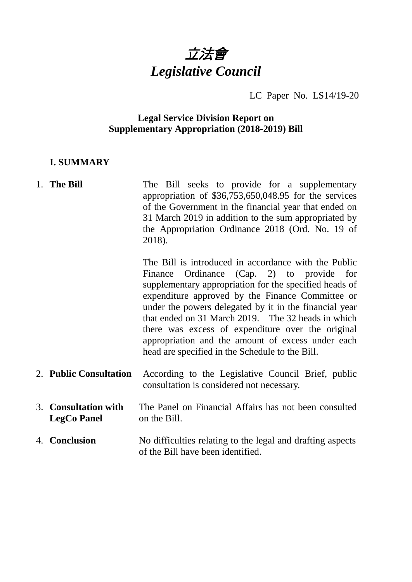

LC Paper No. LS14/19-20

### **Legal Service Division Report on Supplementary Appropriation (2018-2019) Bill**

### **I. SUMMARY**

# 1. **The Bill** The Bill seeks to provide for a supplementary appropriation of \$36,753,650,048.95 for the services of the Government in the financial year that ended on 31 March 2019 in addition to the sum appropriated by the Appropriation Ordinance 2018 (Ord. No. 19 of 2018).

The Bill is introduced in accordance with the Public Finance Ordinance (Cap. 2) to provide for supplementary appropriation for the specified heads of expenditure approved by the Finance Committee or under the powers delegated by it in the financial year that ended on 31 March 2019. The 32 heads in which there was excess of expenditure over the original appropriation and the amount of excess under each head are specified in the Schedule to the Bill.

- 2. **Public Consultation** According to the Legislative Council Brief, public consultation is considered not necessary.
- 3. **Consultation with LegCo Panel** The Panel on Financial Affairs has not been consulted on the Bill.
- 4. **Conclusion** No difficulties relating to the legal and drafting aspects of the Bill have been identified.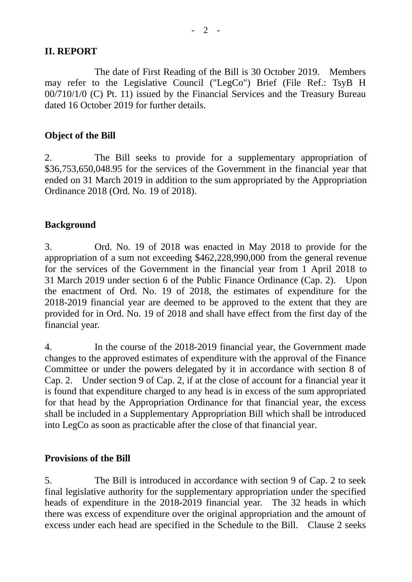## **II. REPORT**

The date of First Reading of the Bill is 30 October 2019. Members may refer to the Legislative Council ("LegCo") Brief (File Ref.: TsyB H 00/710/1/0 (C) Pt. 11) issued by the Financial Services and the Treasury Bureau dated 16 October 2019 for further details.

## **Object of the Bill**

2. The Bill seeks to provide for a supplementary appropriation of \$36,753,650,048.95 for the services of the Government in the financial year that ended on 31 March 2019 in addition to the sum appropriated by the Appropriation Ordinance 2018 (Ord. No. 19 of 2018).

## **Background**

3. Ord. No. 19 of 2018 was enacted in May 2018 to provide for the appropriation of a sum not exceeding \$462,228,990,000 from the general revenue for the services of the Government in the financial year from 1 April 2018 to 31 March 2019 under section 6 of the Public Finance Ordinance (Cap. 2). Upon the enactment of Ord. No. 19 of 2018, the estimates of expenditure for the 2018-2019 financial year are deemed to be approved to the extent that they are provided for in Ord. No. 19 of 2018 and shall have effect from the first day of the financial year.

4. In the course of the 2018-2019 financial year, the Government made changes to the approved estimates of expenditure with the approval of the Finance Committee or under the powers delegated by it in accordance with section 8 of Cap. 2. Under section 9 of Cap. 2, if at the close of account for a financial year it is found that expenditure charged to any head is in excess of the sum appropriated for that head by the Appropriation Ordinance for that financial year, the excess shall be included in a Supplementary Appropriation Bill which shall be introduced into LegCo as soon as practicable after the close of that financial year.

# **Provisions of the Bill**

5. The Bill is introduced in accordance with section 9 of Cap. 2 to seek final legislative authority for the supplementary appropriation under the specified heads of expenditure in the 2018-2019 financial year. The 32 heads in which there was excess of expenditure over the original appropriation and the amount of excess under each head are specified in the Schedule to the Bill. Clause 2 seeks